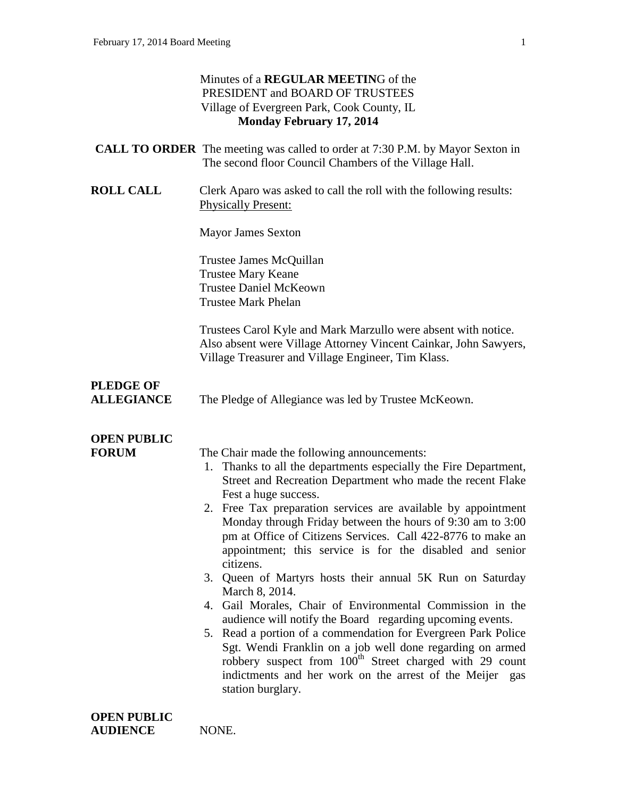## Minutes of a **REGULAR MEETIN**G of the PRESIDENT and BOARD OF TRUSTEES Village of Evergreen Park, Cook County, IL **Monday February 17, 2014**

|                                       | <b>CALL TO ORDER</b> The meeting was called to order at 7:30 P.M. by Mayor Sexton in<br>The second floor Council Chambers of the Village Hall.                                                                                                                                                                                                                                                                                                                                                                                                                                                                                                                                                                                                                                                                                                                                                                                                                                 |
|---------------------------------------|--------------------------------------------------------------------------------------------------------------------------------------------------------------------------------------------------------------------------------------------------------------------------------------------------------------------------------------------------------------------------------------------------------------------------------------------------------------------------------------------------------------------------------------------------------------------------------------------------------------------------------------------------------------------------------------------------------------------------------------------------------------------------------------------------------------------------------------------------------------------------------------------------------------------------------------------------------------------------------|
| <b>ROLL CALL</b>                      | Clerk Aparo was asked to call the roll with the following results:<br><b>Physically Present:</b>                                                                                                                                                                                                                                                                                                                                                                                                                                                                                                                                                                                                                                                                                                                                                                                                                                                                               |
|                                       | <b>Mayor James Sexton</b>                                                                                                                                                                                                                                                                                                                                                                                                                                                                                                                                                                                                                                                                                                                                                                                                                                                                                                                                                      |
|                                       | Trustee James McQuillan<br><b>Trustee Mary Keane</b><br><b>Trustee Daniel McKeown</b><br><b>Trustee Mark Phelan</b>                                                                                                                                                                                                                                                                                                                                                                                                                                                                                                                                                                                                                                                                                                                                                                                                                                                            |
|                                       | Trustees Carol Kyle and Mark Marzullo were absent with notice.<br>Also absent were Village Attorney Vincent Cainkar, John Sawyers,<br>Village Treasurer and Village Engineer, Tim Klass.                                                                                                                                                                                                                                                                                                                                                                                                                                                                                                                                                                                                                                                                                                                                                                                       |
| <b>PLEDGE OF</b><br><b>ALLEGIANCE</b> | The Pledge of Allegiance was led by Trustee McKeown.                                                                                                                                                                                                                                                                                                                                                                                                                                                                                                                                                                                                                                                                                                                                                                                                                                                                                                                           |
| <b>OPEN PUBLIC</b><br><b>FORUM</b>    | The Chair made the following announcements:<br>1. Thanks to all the departments especially the Fire Department,<br>Street and Recreation Department who made the recent Flake<br>Fest a huge success.<br>2. Free Tax preparation services are available by appointment<br>Monday through Friday between the hours of 9:30 am to 3:00<br>pm at Office of Citizens Services. Call 422-8776 to make an<br>appointment; this service is for the disabled and senior<br>citizens.<br>3. Queen of Martyrs hosts their annual 5K Run on Saturday<br>March 8, 2014.<br>4. Gail Morales, Chair of Environmental Commission in the<br>audience will notify the Board regarding upcoming events.<br>5. Read a portion of a commendation for Evergreen Park Police<br>Sgt. Wendi Franklin on a job well done regarding on armed<br>robbery suspect from 100 <sup>th</sup> Street charged with 29 count<br>indictments and her work on the arrest of the Meijer<br>gas<br>station burglary. |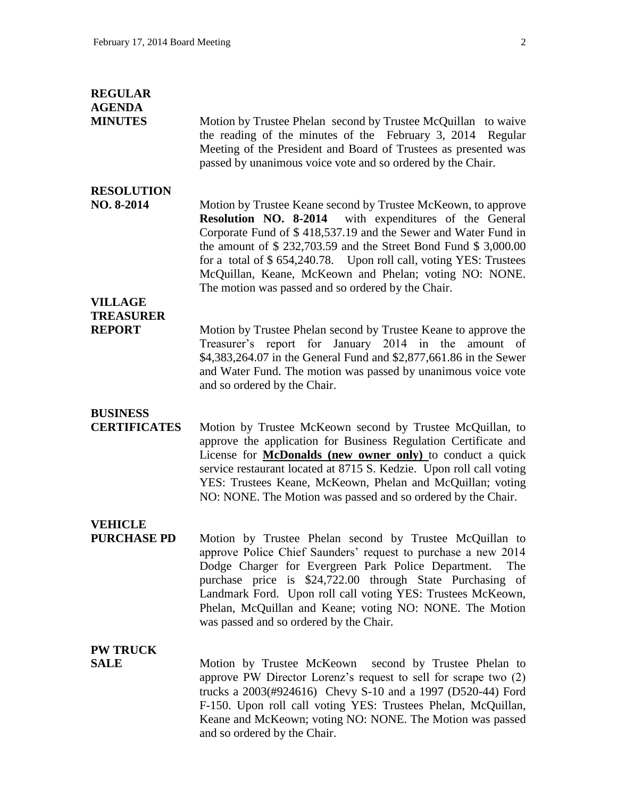| <b>REGULAR</b><br><b>AGENDA</b>        |                                                                                                                                                                                                                                                                                                                                                                                                                                                       |
|----------------------------------------|-------------------------------------------------------------------------------------------------------------------------------------------------------------------------------------------------------------------------------------------------------------------------------------------------------------------------------------------------------------------------------------------------------------------------------------------------------|
| <b>MINUTES</b>                         | Motion by Trustee Phelan second by Trustee McQuillan to waive<br>the reading of the minutes of the February 3, 2014 Regular<br>Meeting of the President and Board of Trustees as presented was<br>passed by unanimous voice vote and so ordered by the Chair.                                                                                                                                                                                         |
| <b>RESOLUTION</b>                      |                                                                                                                                                                                                                                                                                                                                                                                                                                                       |
| NO. 8-2014                             | Motion by Trustee Keane second by Trustee McKeown, to approve<br>Resolution NO. 8-2014<br>with expenditures of the General<br>Corporate Fund of \$418,537.19 and the Sewer and Water Fund in<br>the amount of $$232,703.59$ and the Street Bond Fund $$3,000.00$<br>for a total of \$654,240.78. Upon roll call, voting YES: Trustees<br>McQuillan, Keane, McKeown and Phelan; voting NO: NONE.<br>The motion was passed and so ordered by the Chair. |
| <b>VILLAGE</b>                         |                                                                                                                                                                                                                                                                                                                                                                                                                                                       |
| <b>TREASURER</b>                       |                                                                                                                                                                                                                                                                                                                                                                                                                                                       |
| <b>REPORT</b>                          | Motion by Trustee Phelan second by Trustee Keane to approve the<br>Treasurer's report for January 2014 in the<br>amount of<br>\$4,383,264.07 in the General Fund and \$2,877,661.86 in the Sewer<br>and Water Fund. The motion was passed by unanimous voice vote<br>and so ordered by the Chair.                                                                                                                                                     |
| <b>BUSINESS</b><br><b>CERTIFICATES</b> | Motion by Trustee McKeown second by Trustee McQuillan, to<br>approve the application for Business Regulation Certificate and<br>License for <b>McDonalds</b> (new owner only) to conduct a quick<br>service restaurant located at 8715 S. Kedzie. Upon roll call voting<br>YES: Trustees Keane, McKeown, Phelan and McQuillan; voting<br>NO: NONE. The Motion was passed and so ordered by the Chair.                                                 |
| <b>VEHICLE</b>                         |                                                                                                                                                                                                                                                                                                                                                                                                                                                       |
| <b>PURCHASE PD</b>                     | Motion by Trustee Phelan second by Trustee McQuillan to<br>approve Police Chief Saunders' request to purchase a new 2014<br>Dodge Charger for Evergreen Park Police Department.<br>The<br>purchase price is \$24,722.00 through State Purchasing of<br>Landmark Ford. Upon roll call voting YES: Trustees McKeown,<br>Phelan, McQuillan and Keane; voting NO: NONE. The Motion<br>was passed and so ordered by the Chair.                             |
| <b>PW TRUCK</b>                        |                                                                                                                                                                                                                                                                                                                                                                                                                                                       |
| <b>SALE</b>                            | Motion by Trustee McKeown second by Trustee Phelan to<br>approve PW Director Lorenz's request to sell for scrape two (2)<br>trucks a 2003(#924616) Chevy S-10 and a 1997 (D520-44) Ford<br>F-150. Upon roll call voting YES: Trustees Phelan, McQuillan,                                                                                                                                                                                              |

Keane and McKeown; voting NO: NONE. The Motion was passed

and so ordered by the Chair.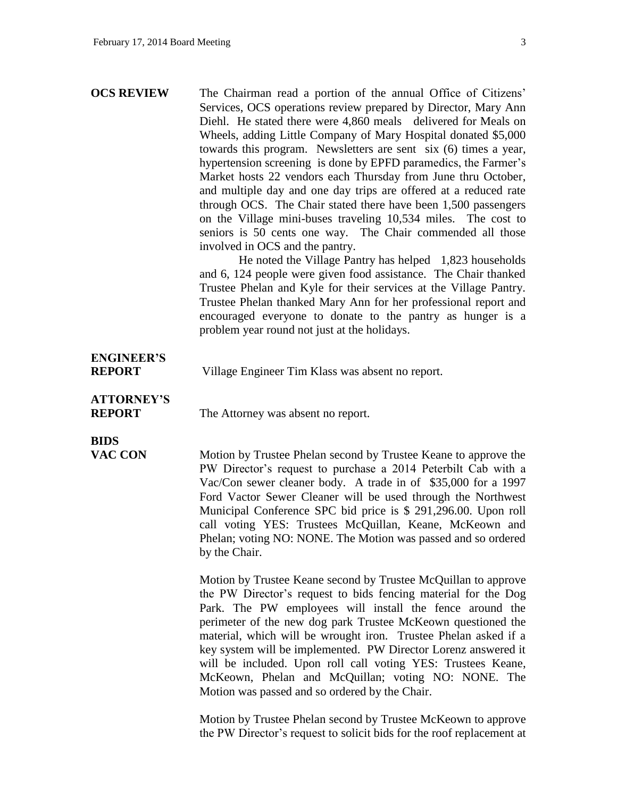**OCS REVIEW** The Chairman read a portion of the annual Office of Citizens' Services, OCS operations review prepared by Director, Mary Ann Diehl. He stated there were 4,860 meals delivered for Meals on Wheels, adding Little Company of Mary Hospital donated \$5,000 towards this program. Newsletters are sent six (6) times a year, hypertension screening is done by EPFD paramedics, the Farmer's Market hosts 22 vendors each Thursday from June thru October, and multiple day and one day trips are offered at a reduced rate through OCS. The Chair stated there have been 1,500 passengers on the Village mini-buses traveling 10,534 miles. The cost to seniors is 50 cents one way. The Chair commended all those involved in OCS and the pantry.

He noted the Village Pantry has helped 1,823 households and 6, 124 people were given food assistance. The Chair thanked Trustee Phelan and Kyle for their services at the Village Pantry. Trustee Phelan thanked Mary Ann for her professional report and encouraged everyone to donate to the pantry as hunger is a problem year round not just at the holidays.

## **ENGINEER'S REPORT** Village Engineer Tim Klass was absent no report.

**ATTORNEY'S** 

**REPORT** The Attorney was absent no report.

## **BIDS**

**VAC CON** Motion by Trustee Phelan second by Trustee Keane to approve the PW Director's request to purchase a 2014 Peterbilt Cab with a Vac/Con sewer cleaner body. A trade in of \$35,000 for a 1997 Ford Vactor Sewer Cleaner will be used through the Northwest Municipal Conference SPC bid price is \$ 291,296.00. Upon roll call voting YES: Trustees McQuillan, Keane, McKeown and Phelan; voting NO: NONE. The Motion was passed and so ordered by the Chair.

> Motion by Trustee Keane second by Trustee McQuillan to approve the PW Director's request to bids fencing material for the Dog Park. The PW employees will install the fence around the perimeter of the new dog park Trustee McKeown questioned the material, which will be wrought iron. Trustee Phelan asked if a key system will be implemented. PW Director Lorenz answered it will be included. Upon roll call voting YES: Trustees Keane, McKeown, Phelan and McQuillan; voting NO: NONE. The Motion was passed and so ordered by the Chair.

> Motion by Trustee Phelan second by Trustee McKeown to approve the PW Director's request to solicit bids for the roof replacement at